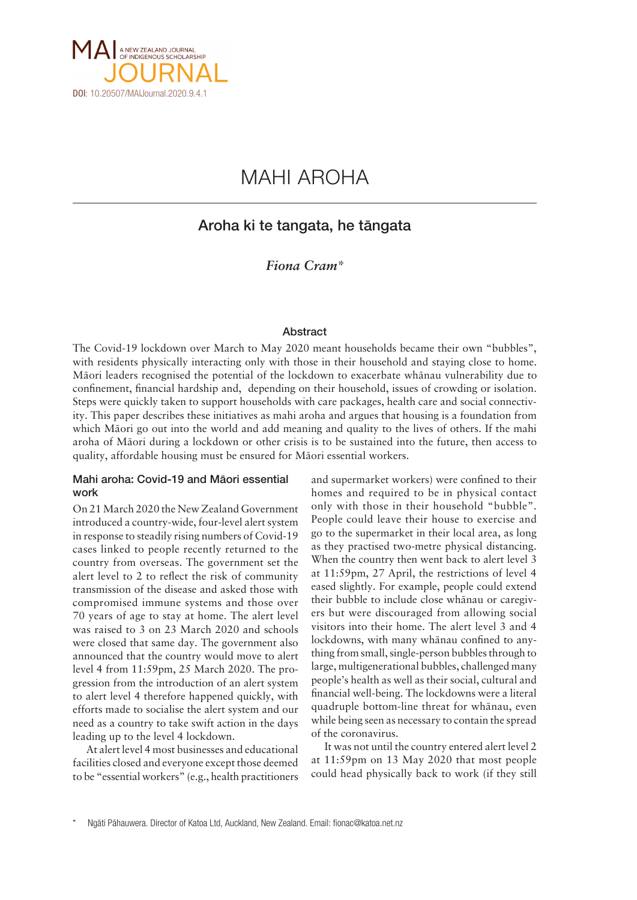

# MAHI AROHA

# Aroha ki te tangata, he tängata

*Fiona Cram\**

## Abstract

The Covid-19 lockdown over March to May 2020 meant households became their own "bubbles", with residents physically interacting only with those in their household and staying close to home. Mäori leaders recognised the potential of the lockdown to exacerbate whänau vulnerability due to confinement, financial hardship and, depending on their household, issues of crowding or isolation. Steps were quickly taken to support households with care packages, health care and social connectivity. This paper describes these initiatives as mahi aroha and argues that housing is a foundation from which Mäori go out into the world and add meaning and quality to the lives of others. If the mahi aroha of Mäori during a lockdown or other crisis is to be sustained into the future, then access to quality, affordable housing must be ensured for Mäori essential workers.

# Mahi aroha: Covid-19 and Mäori essential work

On 21 March 2020 the New Zealand Government introduced a country-wide, four-level alert system in response to steadily rising numbers of Covid-19 cases linked to people recently returned to the country from overseas. The government set the alert level to 2 to reflect the risk of community transmission of the disease and asked those with compromised immune systems and those over 70 years of age to stay at home. The alert level was raised to 3 on 23 March 2020 and schools were closed that same day. The government also announced that the country would move to alert level 4 from 11:59pm, 25 March 2020. The progression from the introduction of an alert system to alert level 4 therefore happened quickly, with efforts made to socialise the alert system and our need as a country to take swift action in the days leading up to the level 4 lockdown.

At alert level 4 most businesses and educational facilities closed and everyone except those deemed to be "essential workers" (e.g., health practitioners

and supermarket workers) were confined to their homes and required to be in physical contact only with those in their household "bubble". People could leave their house to exercise and go to the supermarket in their local area, as long as they practised two-metre physical distancing. When the country then went back to alert level 3 at 11:59pm, 27 April, the restrictions of level 4 eased slightly. For example, people could extend their bubble to include close whänau or caregivers but were discouraged from allowing social visitors into their home. The alert level 3 and 4 lockdowns, with many whänau confined to anything from small, single-person bubbles through to large, multigenerational bubbles, challenged many people's health as well as their social, cultural and financial well-being. The lockdowns were a literal quadruple bottom-line threat for whänau, even while being seen as necessary to contain the spread of the coronavirus.

It was not until the country entered alert level 2 at 11:59pm on 13 May 2020 that most people could head physically back to work (if they still

Ngāti Pāhauwera. Director of Katoa Ltd, Auckland, New Zealand. Email: fionac@katoa.net.nz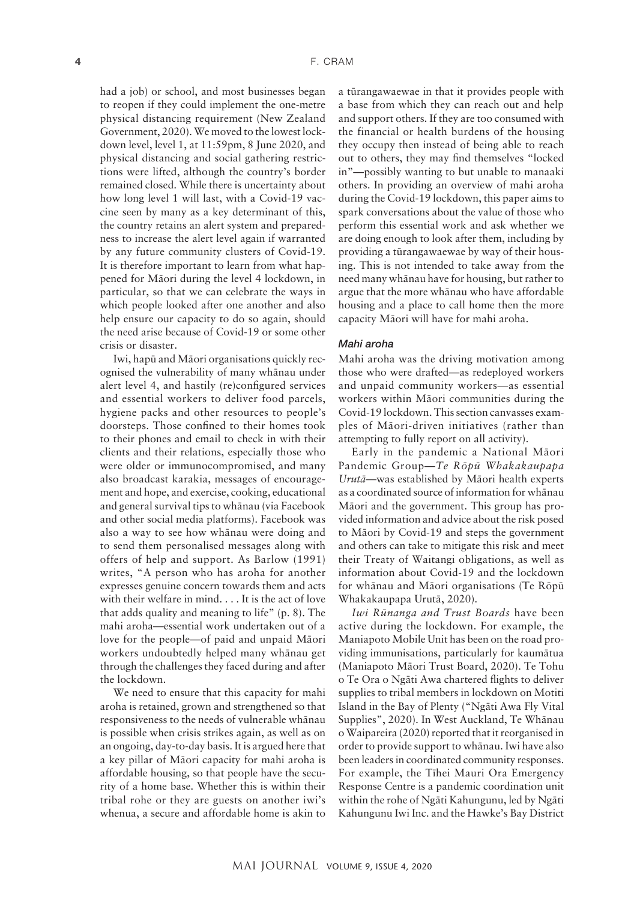had a job) or school, and most businesses began to reopen if they could implement the one-metre physical distancing requirement (New Zealand Government, 2020). We moved to the lowest lockdown level, level 1, at 11:59pm, 8 June 2020, and physical distancing and social gathering restrictions were lifted, although the country's border remained closed. While there is uncertainty about how long level 1 will last, with a Covid-19 vaccine seen by many as a key determinant of this, the country retains an alert system and preparedness to increase the alert level again if warranted by any future community clusters of Covid-19. It is therefore important to learn from what happened for Mäori during the level 4 lockdown, in particular, so that we can celebrate the ways in which people looked after one another and also help ensure our capacity to do so again, should the need arise because of Covid-19 or some other crisis or disaster.

Iwi, hapü and Mäori organisations quickly recognised the vulnerability of many whänau under alert level 4, and hastily (re)configured services and essential workers to deliver food parcels, hygiene packs and other resources to people's doorsteps. Those confined to their homes took to their phones and email to check in with their clients and their relations, especially those who were older or immunocompromised, and many also broadcast karakia, messages of encouragement and hope, and exercise, cooking, educational and general survival tips to whänau (via Facebook and other social media platforms). Facebook was also a way to see how whänau were doing and to send them personalised messages along with offers of help and support. As Barlow (1991) writes, "A person who has aroha for another expresses genuine concern towards them and acts with their welfare in mind. . . . It is the act of love that adds quality and meaning to life" (p. 8). The mahi aroha—essential work undertaken out of a love for the people—of paid and unpaid Mäori workers undoubtedly helped many whänau get through the challenges they faced during and after the lockdown.

We need to ensure that this capacity for mahi aroha is retained, grown and strengthened so that responsiveness to the needs of vulnerable whänau is possible when crisis strikes again, as well as on an ongoing, day-to-day basis. It is argued here that a key pillar of Mäori capacity for mahi aroha is affordable housing, so that people have the security of a home base. Whether this is within their tribal rohe or they are guests on another iwi's whenua, a secure and affordable home is akin to

a türangawaewae in that it provides people with a base from which they can reach out and help and support others. If they are too consumed with the financial or health burdens of the housing they occupy then instead of being able to reach out to others, they may find themselves "locked in"—possibly wanting to but unable to manaaki others. In providing an overview of mahi aroha during the Covid-19 lockdown, this paper aims to spark conversations about the value of those who perform this essential work and ask whether we are doing enough to look after them, including by providing a türangawaewae by way of their housing. This is not intended to take away from the need many whänau have for housing, but rather to argue that the more whänau who have affordable housing and a place to call home then the more capacity Mäori will have for mahi aroha.

#### *Mahi aroha*

Mahi aroha was the driving motivation among those who were drafted—as redeployed workers and unpaid community workers—as essential workers within Mäori communities during the Covid-19 lockdown. This section canvasses examples of Mäori-driven initiatives (rather than attempting to fully report on all activity).

Early in the pandemic a National Mäori Pandemic Group—*Te Röpü Whakakaupapa Urutä*—was established by Mäori health experts as a coordinated source of information for whänau Mäori and the government. This group has provided information and advice about the risk posed to Mäori by Covid-19 and steps the government and others can take to mitigate this risk and meet their Treaty of Waitangi obligations, as well as information about Covid-19 and the lockdown for whänau and Mäori organisations (Te Röpü Whakakaupapa Urutä, 2020).

*Iwi Rünanga and Trust Boards* have been active during the lockdown. For example, the Maniapoto Mobile Unit has been on the road providing immunisations, particularly for kaumätua (Maniapoto Mäori Trust Board, 2020). Te Tohu o Te Ora o Ngäti Awa chartered flights to deliver supplies to tribal members in lockdown on Motiti Island in the Bay of Plenty ("Ngäti Awa Fly Vital Supplies", 2020). In West Auckland, Te Whänau o Waipareira (2020) reported that it reorganised in order to provide support to whänau. Iwi have also been leaders in coordinated community responses. For example, the Tïhei Mauri Ora Emergency Response Centre is a pandemic coordination unit within the rohe of Ngäti Kahungunu, led by Ngäti Kahungunu Iwi Inc. and the Hawke's Bay District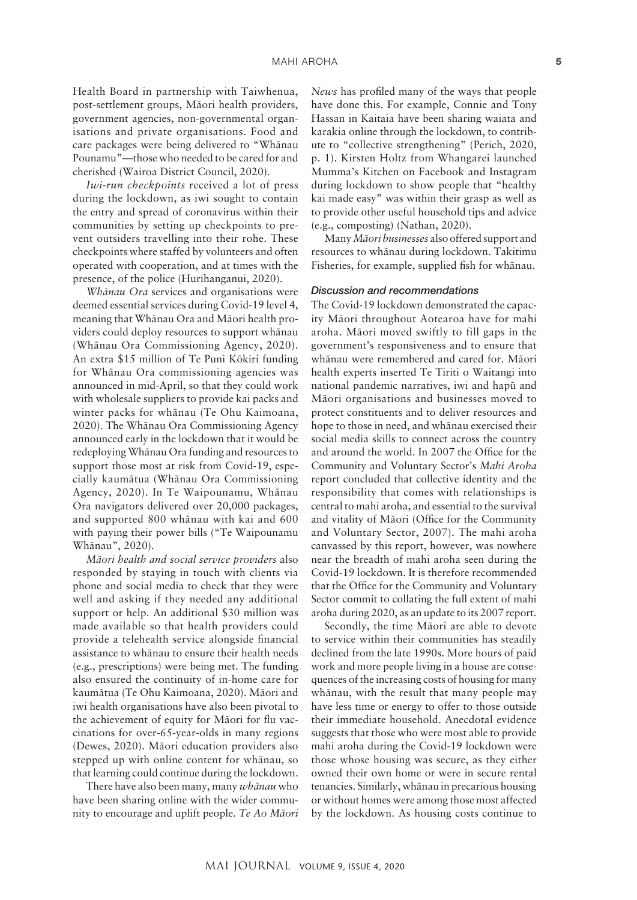Health Board in partnership with Taiwhenua, post-settlement groups, Mäori health providers, government agencies, non-governmental organisations and private organisations. Food and care packages were being delivered to "Whänau Pounamu"—those who needed to be cared for and cherished (Wairoa District Council, 2020).

*Iwi-run checkpoints* received a lot of press during the lockdown, as iwi sought to contain the entry and spread of coronavirus within their communities by setting up checkpoints to prevent outsiders travelling into their rohe. These checkpoints where staffed by volunteers and often operated with cooperation, and at times with the presence, of the police (Hurihanganui, 2020).

*Whänau Ora* services and organisations were deemed essential services during Covid-19 level 4, meaning that Whänau Ora and Mäori health providers could deploy resources to support whänau (Whänau Ora Commissioning Agency, 2020). An extra \$15 million of Te Puni Kökiri funding for Whänau Ora commissioning agencies was announced in mid-April, so that they could work with wholesale suppliers to provide kai packs and winter packs for whänau (Te Ohu Kaimoana, 2020). The Whänau Ora Commissioning Agency announced early in the lockdown that it would be redeploying Whänau Ora funding and resources to support those most at risk from Covid-19, especially kaumätua (Whänau Ora Commissioning Agency, 2020). In Te Waipounamu, Whänau Ora navigators delivered over 20,000 packages, and supported 800 whänau with kai and 600 with paying their power bills ("Te Waipounamu Whänau", 2020).

*Mäori health and social service providers* also responded by staying in touch with clients via phone and social media to check that they were well and asking if they needed any additional support or help. An additional \$30 million was made available so that health providers could provide a telehealth service alongside financial assistance to whänau to ensure their health needs (e.g., prescriptions) were being met. The funding also ensured the continuity of in-home care for kaumätua (Te Ohu Kaimoana, 2020). Mäori and iwi health organisations have also been pivotal to the achievement of equity for Mäori for flu vaccinations for over-65-year-olds in many regions (Dewes, 2020). Mäori education providers also stepped up with online content for whänau, so that learning could continue during the lockdown.

There have also been many, many *whänau* who have been sharing online with the wider community to encourage and uplift people. *Te Ao Mäori* 

*News* has profiled many of the ways that people have done this. For example, Connie and Tony Hassan in Kaitaia have been sharing waiata and karakia online through the lockdown, to contribute to "collective strengthening" (Perich, 2020, p. 1). Kirsten Holtz from Whangarei launched Mumma's Kitchen on Facebook and Instagram during lockdown to show people that "healthy kai made easy" was within their grasp as well as to provide other useful household tips and advice (e.g., composting) (Nathan, 2020).

Many *Mäori businesses* also offered support and resources to whänau during lockdown. Takitimu Fisheries, for example, supplied fish for whänau.

#### *Discussion and recommendations*

The Covid-19 lockdown demonstrated the capacity Mäori throughout Aotearoa have for mahi aroha. Mäori moved swiftly to fill gaps in the government's responsiveness and to ensure that whänau were remembered and cared for. Mäori health experts inserted Te Tiriti o Waitangi into national pandemic narratives, iwi and hapü and Mäori organisations and businesses moved to protect constituents and to deliver resources and hope to those in need, and whänau exercised their social media skills to connect across the country and around the world. In 2007 the Office for the Community and Voluntary Sector's *Mahi Aroha* report concluded that collective identity and the responsibility that comes with relationships is central to mahi aroha, and essential to the survival and vitality of Mäori (Office for the Community and Voluntary Sector, 2007). The mahi aroha canvassed by this report, however, was nowhere near the breadth of mahi aroha seen during the Covid-19 lockdown. It is therefore recommended that the Office for the Community and Voluntary Sector commit to collating the full extent of mahi aroha during 2020, as an update to its 2007 report.

Secondly, the time Mäori are able to devote to service within their communities has steadily declined from the late 1990s. More hours of paid work and more people living in a house are consequences of the increasing costs of housing for many whänau, with the result that many people may have less time or energy to offer to those outside their immediate household. Anecdotal evidence suggests that those who were most able to provide mahi aroha during the Covid-19 lockdown were those whose housing was secure, as they either owned their own home or were in secure rental tenancies. Similarly, whänau in precarious housing or without homes were among those most affected by the lockdown. As housing costs continue to